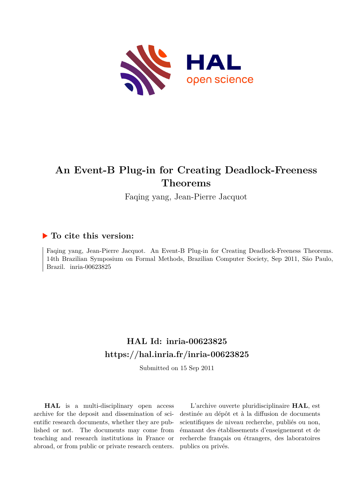

# **An Event-B Plug-in for Creating Deadlock-Freeness Theorems**

Faqing yang, Jean-Pierre Jacquot

# **To cite this version:**

Faqing yang, Jean-Pierre Jacquot. An Event-B Plug-in for Creating Deadlock-Freeness Theorems. 14th Brazilian Symposium on Formal Methods, Brazilian Computer Society, Sep 2011, São Paulo, Brazil. inria-00623825

# **HAL Id: inria-00623825 <https://hal.inria.fr/inria-00623825>**

Submitted on 15 Sep 2011

**HAL** is a multi-disciplinary open access archive for the deposit and dissemination of scientific research documents, whether they are published or not. The documents may come from teaching and research institutions in France or abroad, or from public or private research centers.

L'archive ouverte pluridisciplinaire **HAL**, est destinée au dépôt et à la diffusion de documents scientifiques de niveau recherche, publiés ou non, émanant des établissements d'enseignement et de recherche français ou étrangers, des laboratoires publics ou privés.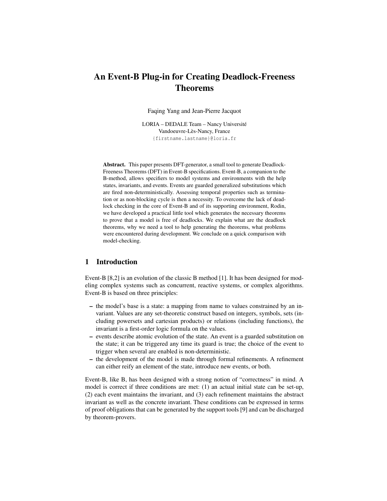# An Event-B Plug-in for Creating Deadlock-Freeness Theorems

Faqing Yang and Jean-Pierre Jacquot

LORIA – DEDALE Team – Nancy Université Vandoeuvre-Lès-Nancy, France {firstname.lastname}@loria.fr

Abstract. This paper presents DFT-generator, a small tool to generate Deadlock-Freeness Theorems (DFT) in Event-B specifications. Event-B, a companion to the B-method, allows specifiers to model systems and environments with the help states, invariants, and events. Events are guarded generalized substitutions which are fired non-deterministically. Assessing temporal properties such as termination or as non-blocking cycle is then a necessity. To overcome the lack of deadlock checking in the core of Event-B and of its supporting environment, Rodin, we have developed a practical little tool which generates the necessary theorems to prove that a model is free of deadlocks. We explain what are the deadlock theorems, why we need a tool to help generating the theorems, what problems were encountered during development. We conclude on a quick comparison with model-checking.

# 1 Introduction

Event-B [8,2] is an evolution of the classic B method [1]. It has been designed for modeling complex systems such as concurrent, reactive systems, or complex algorithms. Event-B is based on three principles:

- the model's base is a state: a mapping from name to values constrained by an invariant. Values are any set-theoretic construct based on integers, symbols, sets (including powersets and cartesian products) or relations (including functions), the invariant is a first-order logic formula on the values.
- events describe atomic evolution of the state. An event is a guarded substitution on the state; it can be triggered any time its guard is true; the choice of the event to trigger when several are enabled is non-deterministic.
- the development of the model is made through formal refinements. A refinement can either reify an element of the state, introduce new events, or both.

Event-B, like B, has been designed with a strong notion of "correctness" in mind. A model is correct if three conditions are met: (1) an actual initial state can be set-up, (2) each event maintains the invariant, and (3) each refinement maintains the abstract invariant as well as the concrete invariant. These conditions can be expressed in terms of proof obligations that can be generated by the support tools [9] and can be discharged by theorem-provers.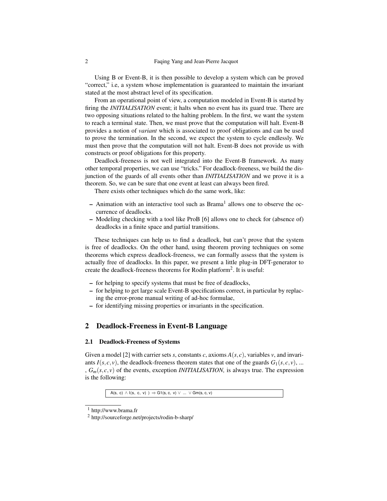Using B or Event-B, it is then possible to develop a system which can be proved "correct," i.e, a system whose implementation is guaranteed to maintain the invariant stated at the most abstract level of its specification.

From an operational point of view, a computation modeled in Event-B is started by firing the *INITIALISATION* event; it halts when no event has its guard true. There are two opposing situations related to the halting problem. In the first, we want the system to reach a terminal state. Then, we must prove that the computation will halt. Event-B provides a notion of *variant* which is associated to proof obligations and can be used to prove the termination. In the second, we expect the system to cycle endlessly. We must then prove that the computation will not halt. Event-B does not provide us with constructs or proof obligations for this property.

Deadlock-freeness is not well integrated into the Event-B framework. As many other temporal properties, we can use "tricks." For deadlock-freeness, we build the disjunction of the guards of all events other than *INITIALISATION* and we prove it is a theorem. So, we can be sure that one event at least can always been fired.

There exists other techniques which do the same work, like:

- Animation with an interactive tool such as Brama<sup>1</sup> allows one to observe the occurrence of deadlocks.
- Modeling checking with a tool like ProB [6] allows one to check for (absence of) deadlocks in a finite space and partial transitions.

These techniques can help us to find a deadlock, but can't prove that the system is free of deadlocks. On the other hand, using theorem proving techniques on some theorems which express deadlock-freeness, we can formally assess that the system is actually free of deadlocks. In this paper, we present a little plug-in DFT-generator to create the deadlock-freeness theorems for Rodin platform<sup>2</sup>. It is useful:

- for helping to specify systems that must be free of deadlocks,
- for helping to get large scale Event-B specifications correct, in particular by replacing the error-prone manual writing of ad-hoc formulae,
- for identifying missing properties or invariants in the specification.

# 2 Deadlock-Freeness in Event-B Language

#### 2.1 Deadlock-Freeness of Systems

Given a model [2] with carrier sets *s*, constants *c*, axioms  $A(s, c)$ , variables *v*, and invariants  $I(s, c, v)$ , the deadlock-freeness theorem states that one of the guards  $G_1(s, c, v)$ , ... ,  $G_m(s, c, v)$  of the events, exception *INITIALISATION*, is always true. The expression is the following:

 $A(s, c) \wedge I(s, c, v)$  )  $\Rightarrow$  G1(s, c, v)  $\vee$  ...  $\vee$  Gm(s, c, v)

<sup>1</sup> http://www.brama.fr

<sup>2</sup> http://sourceforge.net/projects/rodin-b-sharp/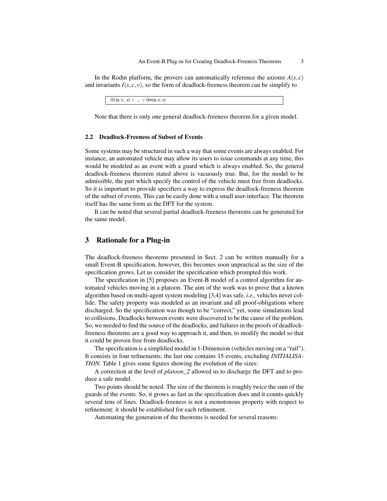In the Rodin platform, the provers can automatically reference the axioms  $A(s, c)$ and invariants  $I(s, c, v)$ , so the form of deadlock-freeness theorem can be simplify to

 $G1(s, c, v) \vee ... \vee Gm(s, c, v)$ 

Note that there is only one general deadlock-freeness theorem for a given model.

#### 2.2 Deadlock-Freeness of Subset of Events

Some systems may be structured in such a way that some events are always enabled. For instance, an automated vehicle may allow its users to issue commands at any time, this would be modeled as an event with a guard which is always enabled. So, the general deadlock-freeness theorem stated above is vacuously true. But, for the model to be admissible, the part which specify the control of the vehicle must free from deadlocks. So it is important to provide specifiers a way to express the deadlock-freeness theorem of the subset of events. This can be easily done with a small user-interface. The theorem itself has the same form as the DFT for the system.

It can be noted that several partial deadlock-freeness theorems can be generated for the same model.

# 3 Rationale for a Plug-in

The deadlock-freeness theorems presented in Sect. 2 can be written manually for a small Event-B specification, however, this becomes soon unpractical as the size of the specification grows. Let us consider the specification which prompted this work.

The specification in [5] proposes an Event-B model of a control algorithm for automated vehicles moving in a platoon. The aim of the work was to prove that a known algorithm based on multi-agent system modeling [3,4] was safe, *i.e.,* vehicles never collide. The safety property was modeled as an invariant and all proof-obligations where discharged. So the specification was though to be "correct," yet, some simulations lead to collisions. Deadlocks between events were discovered to be the cause of the problem. So, we needed to find the source of the deadlocks, and failures in the proofs of deadlockfreeness theorems are a good way to approach it, and then, to modify the model so that it could be proven free from deadlocks.

The specification is a simplified model in 1-Dimension (vehicles moving on a "rail"). It consists in four refinements; the last one contains 15 events, excluding *INITIALISA-TION.* Table 1 gives some figures showing the evolution of the sizes:

A correction at the level of *platoon\_2* allowed us to discharge the DFT and to produce a safe model.

Two points should be noted. The size of the theorem is roughly twice the sum of the guards of the events. So, it grows as fast as the specification does and it counts quickly several tens of lines. Deadlock-freeness is not a monotonous property with respect to refinement: it should be established for each refinement.

Automating the generation of the theorems is needed for several reasons: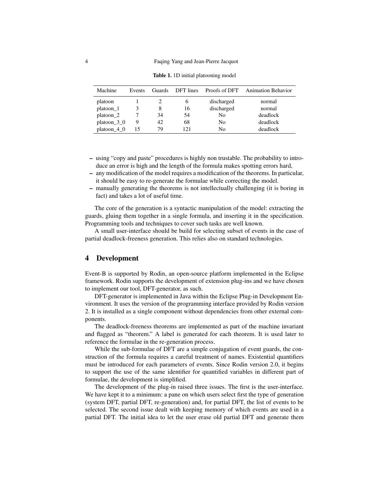| Machine              | Events | Guards | DFT lines    | Proofs of DFT | <b>Animation Behavior</b> |
|----------------------|--------|--------|--------------|---------------|---------------------------|
| platoon              |        |        | <sub>b</sub> | discharged    | normal                    |
| platoon_1            |        | 8      | 16           | discharged    | normal                    |
| platoon <sub>2</sub> |        | 34     | 54           | No            | deadlock                  |
| platoon $3\ 0$       | 9      | 42     | 68           | No            | deadlock                  |
| platoon $4\,0$       | 15     | 79     | 121          | No            | deadlock                  |

Table 1. 1D initial platooning model

- using "copy and paste" procedures is highly non trustable. The probability to introduce an error is high and the length of the formula makes spotting errors hard,
- any modification of the model requires a modification of the theorems. In particular, it should be easy to re-generate the formulae while correcting the model.
- manually generating the theorems is not intellectually challenging (it is boring in fact) and takes a lot of useful time.

The core of the generation is a syntactic manipulation of the model: extracting the guards, gluing them together in a single formula, and inserting it in the specification. Programming tools and techniques to cover such tasks are well known.

A small user-interface should be build for selecting subset of events in the case of partial deadlock-freeness generation. This relies also on standard technologies.

### 4 Development

Event-B is supported by Rodin, an open-source platform implemented in the Eclipse framework. Rodin supports the development of extension plug-ins and we have chosen to implement our tool, DFT-generator, as such.

DFT-generator is implemented in Java within the Eclipse Plug-in Development Environment. It uses the version of the programming interface provided by Rodin version 2. It is installed as a single component without dependencies from other external components.

The deadlock-freeness theorems are implemented as part of the machine invariant and flagged as "theorem." A label is generated for each theorem. It is used later to reference the formulae in the re-generation process.

While the sub-formulae of DFT are a simple conjugation of event guards, the construction of the formula requires a careful treatment of names. Existential quantifiers must be introduced for each parameters of events. Since Rodin version 2.0, it begins to support the use of the same identifier for quantified variables in different part of formulae, the development is simplified.

The development of the plug-in raised three issues. The first is the user-interface. We have kept it to a minimum: a pane on which users select first the type of generation (system DFT, partial DFT, re-generation) and, for partial DFT, the list of events to be selected. The second issue dealt with keeping memory of which events are used in a partial DFT. The initial idea to let the user erase old partial DFT and generate them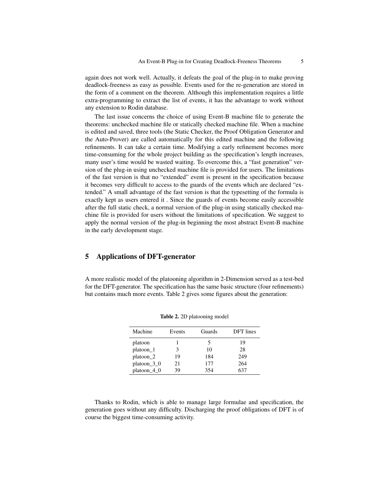again does not work well. Actually, it defeats the goal of the plug-in to make proving deadlock-freeness as easy as possible. Events used for the re-generation are stored in the form of a comment on the theorem. Although this implementation requires a little extra-programming to extract the list of events, it has the advantage to work without any extension to Rodin database.

The last issue concerns the choice of using Event-B machine file to generate the theorems: unchecked machine file or statically checked machine file. When a machine is edited and saved, three tools (the Static Checker, the Proof Obligation Generator and the Auto-Prover) are called automatically for this edited machine and the following refinements. It can take a certain time. Modifying a early refinement becomes more time-consuming for the whole project building as the specification's length increases, many user's time would be wasted waiting. To overcome this, a "fast generation" version of the plug-in using unchecked machine file is provided for users. The limitations of the fast version is that no "extended" event is present in the specification because it becomes very difficult to access to the guards of the events which are declared "extended." A small advantage of the fast version is that the typesetting of the formula is exactly kept as users entered it . Since the guards of events become easily accessible after the full static check, a normal version of the plug-in using statically checked machine file is provided for users without the limitations of specification. We suggest to apply the normal version of the plug-in beginning the most abstract Event-B machine in the early development stage.

# 5 Applications of DFT-generator

A more realistic model of the platooning algorithm in 2-Dimension served as a test-bed for the DFT-generator. The specification has the same basic structure (four refinements) but contains much more events. Table 2 gives some figures about the generation:

| Machine              | Events | Guards | <b>DFT</b> lines |
|----------------------|--------|--------|------------------|
| platoon              |        |        | 19               |
| platoon 1            | 3      | 10     | 28               |
| platoon <sub>2</sub> | 19     | 184    | 249              |
| platoon $3\,0$       | 21     | 177    | 264              |
| platoon 4 0          | 39     | 354    | 637              |

Table 2. 2D platooning model

Thanks to Rodin, which is able to manage large formulae and specification, the generation goes without any difficulty. Discharging the proof obligations of DFT is of course the biggest time-consuming activity.